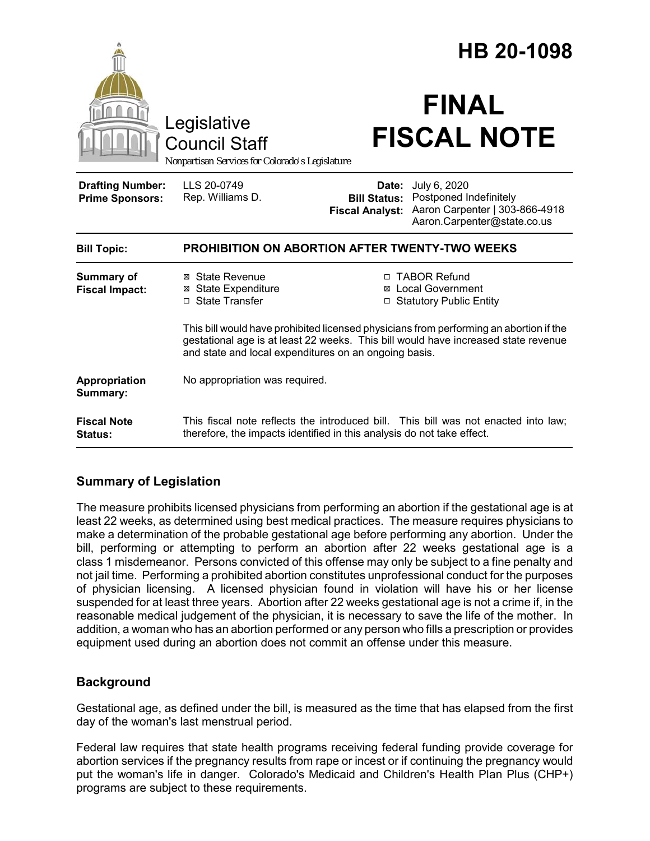|                                                   | Legislative<br><b>Council Staff</b><br>Nonpartisan Services for Colorado's Legislature                                                                                                                                                |                                 | HB 20-1098<br><b>FINAL</b><br><b>FISCAL NOTE</b>                                                                            |
|---------------------------------------------------|---------------------------------------------------------------------------------------------------------------------------------------------------------------------------------------------------------------------------------------|---------------------------------|-----------------------------------------------------------------------------------------------------------------------------|
| <b>Drafting Number:</b><br><b>Prime Sponsors:</b> | LLS 20-0749<br>Rep. Williams D.                                                                                                                                                                                                       | Date:<br><b>Fiscal Analyst:</b> | July 6, 2020<br><b>Bill Status: Postponed Indefinitely</b><br>Aaron Carpenter   303-866-4918<br>Aaron.Carpenter@state.co.us |
| <b>Bill Topic:</b>                                | <b>PROHIBITION ON ABORTION AFTER TWENTY-TWO WEEKS</b>                                                                                                                                                                                 |                                 |                                                                                                                             |
| <b>Summary of</b><br><b>Fiscal Impact:</b>        | ⊠ State Revenue<br><b>⊠ State Expenditure</b><br>□ State Transfer                                                                                                                                                                     |                                 | □ TABOR Refund<br><b>⊠</b> Local Government<br>□ Statutory Public Entity                                                    |
|                                                   | This bill would have prohibited licensed physicians from performing an abortion if the<br>gestational age is at least 22 weeks. This bill would have increased state revenue<br>and state and local expenditures on an ongoing basis. |                                 |                                                                                                                             |
| Appropriation<br>Summary:                         | No appropriation was required.                                                                                                                                                                                                        |                                 |                                                                                                                             |
| <b>Fiscal Note</b><br><b>Status:</b>              | This fiscal note reflects the introduced bill. This bill was not enacted into law;<br>therefore, the impacts identified in this analysis do not take effect.                                                                          |                                 |                                                                                                                             |

# **Summary of Legislation**

The measure prohibits licensed physicians from performing an abortion if the gestational age is at least 22 weeks, as determined using best medical practices. The measure requires physicians to make a determination of the probable gestational age before performing any abortion. Under the bill, performing or attempting to perform an abortion after 22 weeks gestational age is a class 1 misdemeanor. Persons convicted of this offense may only be subject to a fine penalty and not jail time. Performing a prohibited abortion constitutes unprofessional conduct for the purposes of physician licensing. A licensed physician found in violation will have his or her license suspended for at least three years. Abortion after 22 weeks gestational age is not a crime if, in the reasonable medical judgement of the physician, it is necessary to save the life of the mother. In addition, a woman who has an abortion performed or any person who fills a prescription or provides equipment used during an abortion does not commit an offense under this measure.

# **Background**

Gestational age, as defined under the bill, is measured as the time that has elapsed from the first day of the woman's last menstrual period.

Federal law requires that state health programs receiving federal funding provide coverage for abortion services if the pregnancy results from rape or incest or if continuing the pregnancy would put the woman's life in danger. Colorado's Medicaid and Children's Health Plan Plus (CHP+) programs are subject to these requirements.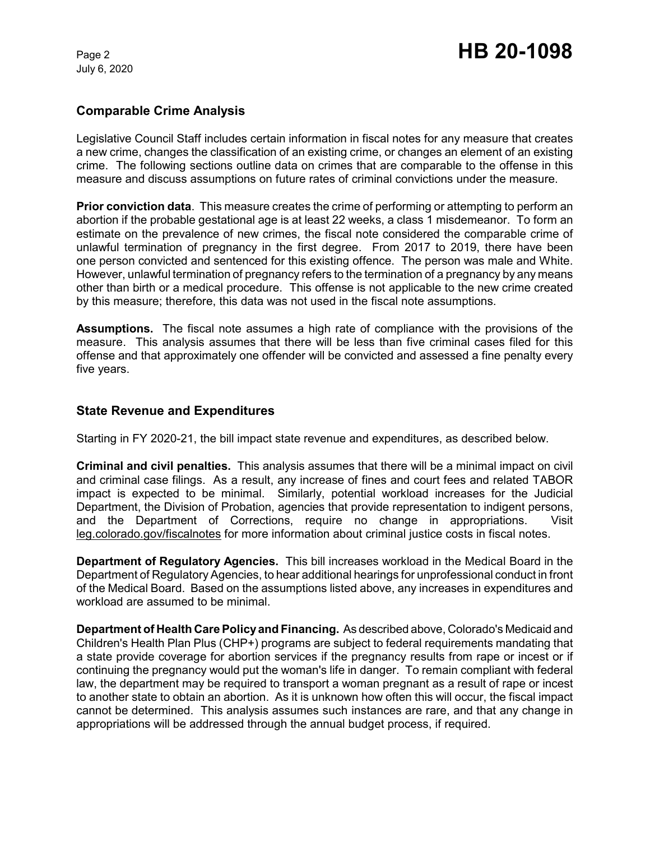July 6, 2020

## **Comparable Crime Analysis**

Legislative Council Staff includes certain information in fiscal notes for any measure that creates a new crime, changes the classification of an existing crime, or changes an element of an existing crime. The following sections outline data on crimes that are comparable to the offense in this measure and discuss assumptions on future rates of criminal convictions under the measure.

**Prior conviction data**. This measure creates the crime of performing or attempting to perform an abortion if the probable gestational age is at least 22 weeks, a class 1 misdemeanor. To form an estimate on the prevalence of new crimes, the fiscal note considered the comparable crime of unlawful termination of pregnancy in the first degree. From 2017 to 2019, there have been one person convicted and sentenced for this existing offence. The person was male and White. However, unlawful termination of pregnancy refers to the termination of a pregnancy by any means other than birth or a medical procedure. This offense is not applicable to the new crime created by this measure; therefore, this data was not used in the fiscal note assumptions.

**Assumptions.** The fiscal note assumes a high rate of compliance with the provisions of the measure. This analysis assumes that there will be less than five criminal cases filed for this offense and that approximately one offender will be convicted and assessed a fine penalty every five years.

## **State Revenue and Expenditures**

Starting in FY 2020-21, the bill impact state revenue and expenditures, as described below.

**Criminal and civil penalties.** This analysis assumes that there will be a minimal impact on civil and criminal case filings. As a result, any increase of fines and court fees and related TABOR impact is expected to be minimal. Similarly, potential workload increases for the Judicial Department, the Division of Probation, agencies that provide representation to indigent persons, and the Department of Corrections, require no change in appropriations. Visit leg.colorado.gov/fiscalnotes for more information about criminal justice costs in fiscal notes.

**Department of Regulatory Agencies.** This bill increases workload in the Medical Board in the Department of Regulatory Agencies, to hear additional hearings for unprofessional conduct in front of the Medical Board. Based on the assumptions listed above, any increases in expenditures and workload are assumed to be minimal.

**Department of Health Care Policy and Financing.** As described above, Colorado's Medicaid and Children's Health Plan Plus (CHP+) programs are subject to federal requirements mandating that a state provide coverage for abortion services if the pregnancy results from rape or incest or if continuing the pregnancy would put the woman's life in danger. To remain compliant with federal law, the department may be required to transport a woman pregnant as a result of rape or incest to another state to obtain an abortion. As it is unknown how often this will occur, the fiscal impact cannot be determined. This analysis assumes such instances are rare, and that any change in appropriations will be addressed through the annual budget process, if required.